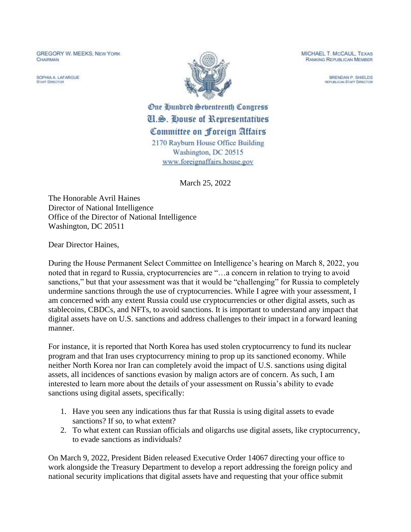**GREGORY W. MEEKS, NEW YORK** CHAIRMAN

SOPHIA A LAFARGUE **STAFF DIRECTOR** 



MICHAEL T. McCAUL, TEXAS **RANKING REPUBLICAN MEMBER** 

> BRENDAN P. SHIELDS **REPUBLICAN STAFF DIRECTOR**

One Qundred Seventeenth Congress **U.S. House of Representatives** Committee on Foreign Attairs 2170 Rayburn House Office Building Washington, DC 20515 www.foreignaffairs.house.gov

March 25, 2022

The Honorable Avril Haines Director of National Intelligence Office of the Director of National Intelligence Washington, DC 20511

Dear Director Haines,

During the House Permanent Select Committee on Intelligence's hearing on March 8, 2022, you noted that in regard to Russia, cryptocurrencies are "…a concern in relation to trying to avoid sanctions," but that your assessment was that it would be "challenging" for Russia to completely undermine sanctions through the use of cryptocurrencies. While I agree with your assessment, I am concerned with any extent Russia could use cryptocurrencies or other digital assets, such as stablecoins, CBDCs, and NFTs, to avoid sanctions. It is important to understand any impact that digital assets have on U.S. sanctions and address challenges to their impact in a forward leaning manner.

For instance, it is reported that North Korea has used stolen cryptocurrency to fund its nuclear program and that Iran uses cryptocurrency mining to prop up its sanctioned economy. While neither North Korea nor Iran can completely avoid the impact of U.S. sanctions using digital assets, all incidences of sanctions evasion by malign actors are of concern. As such, I am interested to learn more about the details of your assessment on Russia's ability to evade sanctions using digital assets, specifically:

- 1. Have you seen any indications thus far that Russia is using digital assets to evade sanctions? If so, to what extent?
- 2. To what extent can Russian officials and oligarchs use digital assets, like cryptocurrency, to evade sanctions as individuals?

On March 9, 2022, President Biden released Executive Order 14067 directing your office to work alongside the Treasury Department to develop a report addressing the foreign policy and national security implications that digital assets have and requesting that your office submit